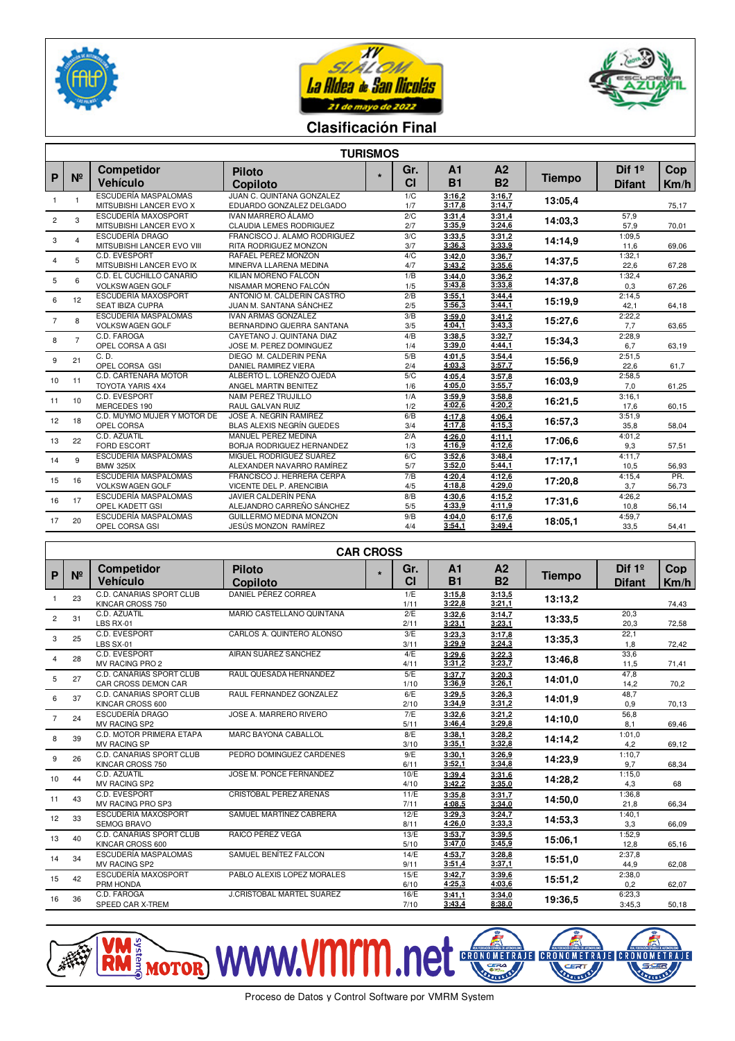





## **Clasificación Final**

| <b>TURISMOS</b> |                  |                                                        |                                                               |         |            |                             |                             |               |                           |              |
|-----------------|------------------|--------------------------------------------------------|---------------------------------------------------------------|---------|------------|-----------------------------|-----------------------------|---------------|---------------------------|--------------|
| $\mathsf{P}$    | $N^{\circ}$      | <b>Competidor</b><br><b>Vehículo</b>                   | <b>Piloto</b><br>Copiloto                                     | $\star$ | Gr.<br>CI  | A <sub>1</sub><br><b>B1</b> | A <sub>2</sub><br><b>B2</b> | <b>Tiempo</b> | Dif $1°$<br><b>Difant</b> | Cop<br>Km/h  |
| 1               | $\mathbf{1}$     | <b>ESCUDERÍA MASPALOMAS</b><br>MITSUBISHI LANCER EVO X | JUAN C. QUINTANA GONZALEZ<br>EDUARDO GONZALEZ DELGADO         |         | 1/C<br>1/7 | 3:16,2<br>3:17,8            | 3:16,7<br>3:14,7            | 13:05.4       |                           | 75,17        |
| $\overline{c}$  | 3                | ESCUDERÍA MAXOSPORT<br>MITSUBISHI LANCER EVO X         | <b>IVAN MARRERO ÁLAMO</b><br><b>CLAUDIA LEMES RODRIGUEZ</b>   |         | 2/C<br>2/7 | 3:31,4<br>3:35.9            | 3:31,4<br>3:24.6            | 14:03.3       | 57,9<br>57,9              | 70,01        |
| 3               | $\overline{4}$   | <b>ESCUDERÍA DRAGO</b><br>MITSUBISHI LANCER EVO VIII   | FRANCISCO J. ALAMO RODRIGUEZ<br>RITA RODRIGUEZ MONZON         |         | 3/C<br>3/7 | 3:33,5<br>3:36,3            | 3:31,2<br>3:33.9            | 14:14,9       | 1:09.5<br>11,6            | 69,06        |
| 4               | 5                | C.D. EVESPORT<br>MITSUBISHI LANCER EVO IX              | RAFAEL PEREZ MONZON<br>MINERVA LLARENA MEDINA                 |         | 4/C<br>4/7 | 3:42,0<br>3:43,2            | 3:36,7<br>3:35.6            | 14:37,5       | 1:32,1<br>22,6            | 67,28        |
| 5               | 6                | C.D. EL CUCHILLO CANARIO<br><b>VOLKSWAGEN GOLF</b>     | KILIAN MORENO FALCÓN<br>NISAMAR MORENO FALCÓN                 |         | 1/B<br>1/5 | 3:44,0<br>3:43.8            | 3:36,2<br>3:33.8            | 14:37,8       | 1:32,4<br>0,3             | 67,26        |
| 6               | 12               | ESCUDERÍA MAXOSPORT<br><b>SEAT IBIZA CUPRA</b>         | ANTONIO M. CALDERIN CASTRO<br>JUAN M. SANTANA SÁNCHEZ         |         | 2/B<br>2/5 | 3:55,1<br>3:56.3            | 3:44,4<br>3:44.1            | 15:19.9       | 2:14,5<br>42,1            | 64,18        |
| $\overline{7}$  | 8                | ESCUDERÍA MASPALOMAS<br><b>VOLKSWAGEN GOLF</b>         | <b>IVAN ARMAS GONZALEZ</b><br>BERNARDINO GUERRA SANTANA       |         | 3/B<br>3/5 | 3:59.0<br>4:04,1            | 3:41,2<br>3:43.3            | 15:27,6       | 2:22.2<br>7,7             | 63,65        |
| 8               | $\overline{7}$   | C.D. FAROGA<br>OPEL CORSA A GSI                        | CAYETANO J. QUINTANA DIAZ<br>JOSE M. PEREZ DOMINGUEZ          |         | 4/B<br>1/4 | 3:38,5<br>3:39.0            | 3:32,7<br>4:44.1            | 15:34,3       | 2:28,9<br>6,7             | 63,19        |
| 9               | 21               | C. D.<br>OPEL CORSA GSI                                | DIEGO M. CALDERIN PEÑA<br><b>DANIEL RAMIREZ VIERA</b>         |         | 5/B<br>2/4 | 4:01.5<br>4:03,3            | 3:54,4<br>3:57,7            | 15:56.9       | 2:51,5<br>22,6            | 61,7         |
| 10              | 11               | C.D. CARTENARA MOTOR<br><b>TOYOTA YARIS 4X4</b>        | ALBERTO L. LORENZO OJEDA<br>ANGEL MARTIN BENITEZ              |         | 5/C<br>1/6 | 4:05,4<br>4:05.0            | 3:57.8<br>3:55.7            | 16:03.9       | 2:58,5<br>7,0             | 61,25        |
| 11              | 10               | C.D. EVESPORT<br>MERCEDES 190                          | NAIM PEREZ TRUJILLO<br>RAUL GALVAN RUIZ                       |         | 1/A<br>1/2 | 3:59,9<br>4:02,6            | 3:58,8<br>4:20,2            | 16:21,5       | 3:16,1<br>17,6            | 60.15        |
| 12              | 18               | C.D. MUYMO MUJER Y MOTOR DE<br>OPEL CORSA              | JOSE A. NEGRIN RAMIREZ<br>BLAS ALEXIS NEGRÍN GUEDES           |         | 6/B<br>3/4 | 4:17,8<br>4:17.8            | 4:06.4<br>4:15.3            | 16:57,3       | 3:51.9<br>35,8            | 58.04        |
| 13              | 22               | C.D. AZUATIL<br><b>FORD ESCORT</b>                     | MANUEL PEREZ MEDINA<br><b>BORJA RODRIGUEZ HERNANDEZ</b>       |         | 2/A<br>1/3 | 4:26.0<br>4:16.9            | 4:11,1<br>4:12.6            | 17:06.6       | 4:01,2<br>9,3             | 57,51        |
| 14              | 9                | ESCUDERÍA MASPALOMAS<br><b>BMW 325IX</b>               | MIGUEL RODRÍGUEZ SUÁREZ<br>ALEXANDER NAVARRO RAMÍREZ          |         | 6/C<br>5/7 | 3:52,6<br>3:52,0            | 3:48,4<br>5:44,1            | 17:17.1       | 4:11,7<br>10,5            | 56,93        |
| 15              | 16               | <b>ESCUDERÍA MASPALOMAS</b><br><b>VOLKSWAGEN GOLF</b>  | FRANCISCO J. HERRERA CERPA<br><b>VICENTE DEL P. ARENCIBIA</b> |         | 7/B<br>4/5 | 4:20.4<br>4:18.8            | 4:12.6<br>4:29.0            | 17:20.8       | 4:15,4<br>3,7             | PR.<br>56,73 |
| 16              | 17               | ESCUDERÍA MASPALOMAS<br>OPEL KADETT GSI                | JAVIER CALDERÍN PEÑA<br>ALEJANDRO CARREÑO SÁNCHEZ             |         | 8/B<br>5/5 | 4:30.6<br>4:33,9            | 4:15,2<br>4:11.9            | 17:31,6       | 4:26,2<br>10,8            | 56,14        |
| 17              | 20               | ESCUDERÍA MASPALOMAS<br>OPEL CORSA GSI                 | GUILLERMO MEDINA MONZON<br>JESÚS MONZON RAMÍREZ               |         | 9/B<br>4/4 | 4:04.0<br>3:54,1            | 6:17.6<br>3:49,4            | 18:05,1       | 4:59,7<br>33,5            | 54,41        |
|                 | <b>CAR CROSS</b> |                                                        |                                                               |         |            |                             |                             |               |                           |              |

|                | <b>CAR CROSS</b> |                                                        |                                  |         |                  |                             |                             |         |                           |                    |
|----------------|------------------|--------------------------------------------------------|----------------------------------|---------|------------------|-----------------------------|-----------------------------|---------|---------------------------|--------------------|
| $\mathsf{P}$   | N <sup>2</sup>   | <b>Competidor</b><br>Vehículo                          | <b>Piloto</b><br>Copiloto        | $\star$ | Gr.<br><b>CI</b> | A <sub>1</sub><br><b>B1</b> | A <sub>2</sub><br><b>B2</b> | Tiempo  | Dif $1°$<br><b>Difant</b> | <b>Cop</b><br>Km/h |
|                | 23               | C.D. CANARIAS SPORT CLUB<br>KINCAR CROSS 750           | DANIEL PÉREZ CORREA              |         | 1/E<br>1/11      | 3:15.8<br>3:22.8            | 3:13,5<br>3:21.1            | 13:13.2 |                           | 74,43              |
| $\overline{2}$ | 31               | C.D. AZUATIL<br>LBS RX-01                              | MARIO CASTELLANO QUINTANA        |         | 2/E<br>2/11      | 3:32.6<br>3:23,1            | 3:14.7<br>3:23.1            | 13:33.5 | 20,3<br>20,3              | 72,58              |
| 3              | 25               | C.D. EVESPORT<br>LBS SX-01                             | CARLOS A. QUINTERO ALONSO        |         | 3/E<br>3/11      | 3:23.3<br>3:29.9            | 3:17.8<br>3:24,3            | 13:35.3 | 22,1<br>1,8               | 72,42              |
| $\overline{4}$ | 28               | C.D. EVESPORT<br>MV RACING PRO 2                       | AIRAN SUÁREZ SANCHEZ             |         | 4/E<br>4/11      | 3:29.6<br>3:31,2            | 3:22,3<br>3:23.7            | 13:46.8 | 33,6<br>11,5              | 71,41              |
| 5              | 27               | <b>C.D. CANARIAS SPORT CLUB</b><br>CAR CROSS DEMON CAR | RAUL QUESADA HERNANDEZ           |         | 5/E<br>1/10      | 3:37,7<br>3:36.9            | 3:20,3<br>3:26.1            | 14:01.0 | 47,8<br>14,2              | 70,2               |
| 6              | 37               | C.D. CANARIAS SPORT CLUB<br>KINCAR CROSS 600           | RAUL FERNANDEZ GONZALEZ          |         | 6/E<br>2/10      | 3:29.5<br>3:34.9            | 3:26,3<br>3:31,2            | 14:01.9 | 48,7<br>0.9               | 70,13              |
| $\overline{7}$ | 24               | <b>ESCUDERÍA DRAGO</b><br><b>MV RACING SP2</b>         | JOSE A. MARRERO RIVERO           |         | 7/E<br>5/11      | 3:32,6<br>3:46.4            | 3:21,2<br>3:29.8            | 14:10.0 | 56,8<br>8,1               | 69,46              |
| 8              | 39               | C.D. MOTOR PRIMERA ETAPA<br><b>MV RACING SP</b>        | <b>MARC BAYONA CABALLOL</b>      |         | 8/E<br>3/10      | 3:38,1<br>3:35,1            | 3:28,2<br>3:32,8            | 14:14,2 | 1:01.0<br>4,2             | 69.12              |
| 9              | 26               | <b>C.D. CANARIAS SPORT CLUB</b><br>KINCAR CROSS 750    | PEDRO DOMINGUEZ CARDENES         |         | 9/E<br>6/11      | 3:30,1<br>3:52,1            | 3:26,9<br>3:34.8            | 14:23,9 | 1:10,7<br>9,7             | 68,34              |
| 10             | 44               | C.D. AZUATIL<br><b>MV RACING SP2</b>                   | JOSE M. PONCE FERNANDEZ          |         | 10/E<br>4/10     | 3:39,4<br>3:42,2            | 3:31,6<br>3:35,0            | 14:28.2 | 1:15.0<br>4,3             | 68                 |
| 11             | 43               | C.D. EVESPORT<br>MV RACING PRO SP3                     | CRISTÓBAL PEREZ ARENAS           |         | 11/E<br>7/11     | 3:35,8<br>4:08.5            | 3:31,7<br>3:34,0            | 14:50,0 | 1:36,8<br>21,8            | 66,34              |
| 12             | 33               | ESCUDERÍA MAXOSPORT<br>SEMOG BRAVO                     | SAMUEL MARTÍNEZ CABRERA          |         | 12/E<br>8/11     | 3:29,3<br>4:26,0            | 3:24,7<br>3:33,3            | 14:53.3 | 1:40,1<br>3,3             | 66,09              |
| 13             | 40               | C.D. CANARIAS SPORT CLUB<br>KINCAR CROSS 600           | RAICO PÉREZ VEGA                 |         | 13/E<br>5/10     | 3:53,7<br>3:47,0            | 3:39,5<br>3:45,9            | 15:06.1 | 1:52,9<br>12.8            | 65,16              |
| 14             | 34               | ESCUDERÍA MASPALOMAS<br><b>MV RACING SP2</b>           | SAMUEL BENÍTEZ FALCON            |         | 14/E<br>9/11     | 4:53,7<br>3:51,4            | 3:28,8<br>3:37,1            | 15:51,0 | 2:37.8<br>44,9            | 62,08              |
| 15             | 42               | ESCUDERÍA MAXOSPORT<br>PRM HONDA                       | PABLO ALEXIS LOPEZ MORALES       |         | 15/E<br>6/10     | 3:42,7<br>4:25.3            | 3:39,6<br>4:03.6            | 15:51,2 | 2:38,0<br>0,2             | 62,07              |
| 16             | 36               | C.D. FAROGA<br>SPEED CAR X-TREM                        | <b>J.CRISTOBAL MARTEL SUAREZ</b> |         | 16/E<br>7/10     | 3:41,1<br>3:43,4            | 3:34.0<br>8:38,0            | 19:36,5 | 6:23.3<br>3:45.3          | 50,18              |